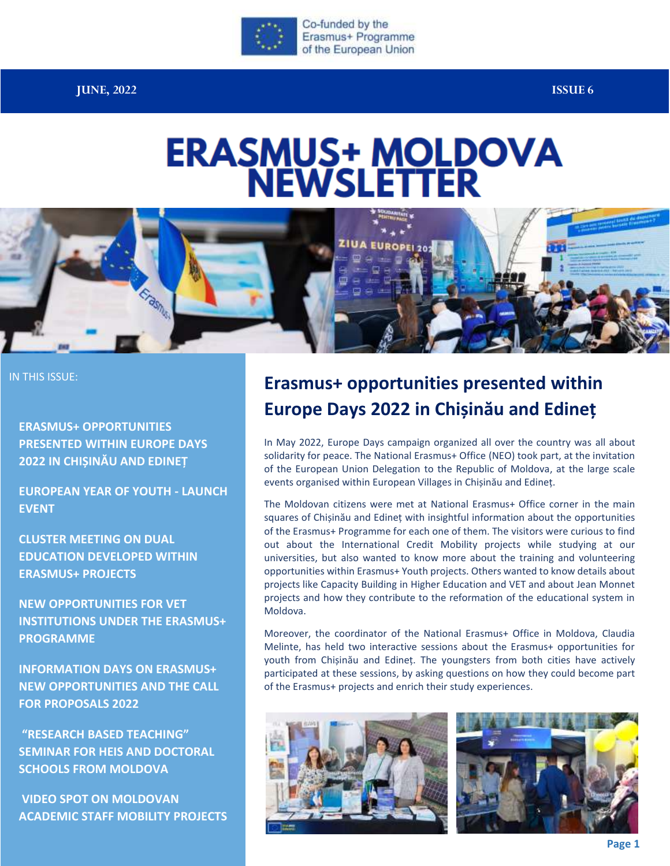

# **ERASMUS+ MOLDOVA**<br>NEWSLETTER



### IN THIS ISSUE:

**ERASMUS+ OPPORTUNITIES PRESENTED WITHIN EUROPE DAYS 2022 IN CHIȘINĂU AND EDINEȚ**

**EUROPEAN YEAR OF YOUTH - LAUNCH EVENT**

**CLUSTER MEETING ON DUAL EDUCATION DEVELOPED WITHIN ERASMUS+ PROJECTS** 

**NEW OPPORTUNITIES FOR VET INSTITUTIONS UNDER THE ERASMUS+ PROGRAMME**

**INFORMATION DAYS ON ERASMUS+ NEW OPPORTUNITIES AND THE CALL FOR PROPOSALS 2022**

**"RESEARCH BASED TEACHING" SEMINAR FOR HEIS AND DOCTORAL SCHOOLS FROM MOLDOVA**

**VIDEO SPOT ON MOLDOVAN ACADEMIC STAFF MOBILITY PROJECTS**

# **Erasmus+ opportunities presented within Europe Days 2022 in Chișinău and Edineț**

In May 2022, Europe Days campaign organized all over the country was all about solidarity for peace. The National Erasmus+ Office (NEO) took part, at the invitation of the European Union Delegation to the Republic of Moldova, at the large scale events organised within European Villages in Chișinău and Edineț.

The Moldovan citizens were met at National Erasmus+ Office corner in the main squares of Chișinău and Edineț with insightful information about the opportunities of the Erasmus+ Programme for each one of them. The visitors were curious to find out about the International Credit Mobility projects while studying at our universities, but also wanted to know more about the training and volunteering opportunities within Erasmus+ Youth projects. Others wanted to know details about projects like Capacity Building in Higher Education and VET and about Jean Monnet projects and how they contribute to the reformation of the educational system in Moldova.

Moreover, the coordinator of the National Erasmus+ Office in Moldova, Claudia Melinte, has held two interactive sessions about the Erasmus+ opportunities for youth from Chișinău and Edineț. The youngsters from both cities have actively participated at these sessions, by asking questions on how they could become part of the Erasmus+ projects and enrich their study experiences.



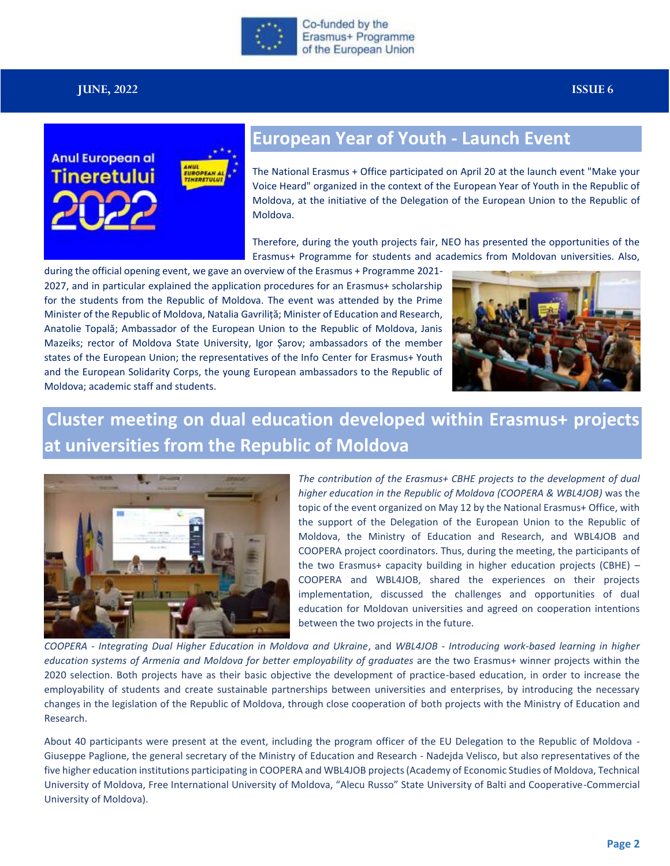

**Anul European al Tineretului** 



# **European Year of Youth - Launch Event**

The National Erasmus + Office participated on April 20 at the launch event "Make your Voice Heard" organized in the context of the European Year of Youth in the Republic of Moldova, at the initiative of the Delegation of the European Union to the Republic of Moldova.

Therefore, during the youth projects fair, NEO has presented the opportunities of the Erasmus+ Programme for students and academics from Moldovan universities. Also,

during the official opening event, we gave an overview of the Erasmus + Programme 2021- 2027, and in particular explained the application procedures for an Erasmus+ scholarship for the students from the Republic of Moldova. The event was attended by the Prime Minister of the Republic of Moldova, Natalia Gavriliță; Minister of Education and Research, Anatolie Topală; Ambassador of the European Union to the Republic of Moldova, Janis Mazeiks; rector of Moldova State University, Igor Șarov; ambassadors of the member states of the European Union; the representatives of the Info Center for Erasmus+ Youth and the European Solidarity Corps, the young European ambassadors to the Republic of Moldova; academic staff and students.



# **Cluster meeting on dual education developed within Erasmus+ projects at universities from the Republic of Moldova**



*The contribution of the Erasmus+ CBHE projects to the development of dual higher education in the Republic of Moldova (COOPERA & WBL4JOB)* was the topic of the event organized on May 12 by the National Erasmus+ Office, with the support of the Delegation of the European Union to the Republic of Moldova, the Ministry of Education and Research, and WBL4JOB and COOPERA project coordinators. Thus, during the meeting, the participants of the two Erasmus+ capacity building in higher education projects (CBHE) – COOPERA and WBL4JOB, shared the experiences on their projects implementation, discussed the challenges and opportunities of dual education for Moldovan universities and agreed on cooperation intentions between the two projects in the future.

*COOPERA - Integrating Dual Higher Education in Moldova and Ukraine*, and *WBL4JOB - Introducing work-based learning in higher education systems of Armenia and Moldova for better employability of graduates* are the two Erasmus+ winner projects within the 2020 selection. Both projects have as their basic objective the development of practice-based education, in order to increase the employability of students and create sustainable partnerships between universities and enterprises, by introducing the necessary changes in the legislation of the Republic of Moldova, through close cooperation of both projects with the Ministry of Education and Research.

About 40 participants were present at the event, including the program officer of the EU Delegation to the Republic of Moldova - Giuseppe Paglione, the general secretary of the Ministry of Education and Research - Nadejda Velisco, but also representatives of the five higher education institutions participating in COOPERA and WBL4JOB projects (Academy of Economic Studies of Moldova, Technical University of Moldova, Free International University of Moldova, "Alecu Russo" State University of Balti and Cooperative-Commercial University of Moldova).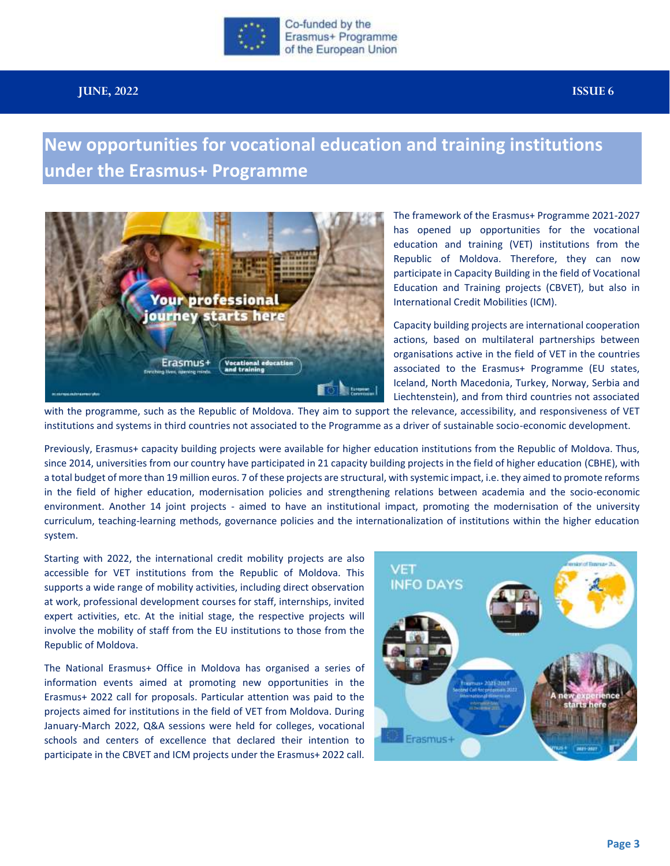

# **New opportunities for vocational education and training institutions under the Erasmus+ Programme**



The framework of the Erasmus+ Programme 2021-2027 has opened up opportunities for the vocational education and training (VET) institutions from the Republic of Moldova. Therefore, they can now participate in Capacity Building in the field of Vocational Education and Training projects (CBVET), but also in International Credit Mobilities (ICM).

Capacity building projects are international cooperation actions, based on multilateral partnerships between organisations active in the field of VET in the countries associated to the Erasmus+ Programme (EU states, Iceland, North Macedonia, Turkey, Norway, Serbia and Liechtenstein), and from third countries not associated

with the programme, such as the Republic of Moldova. They aim to support the relevance, accessibility, and responsiveness of VET institutions and systems in third countries not associated to the Programme as a driver of sustainable socio-economic development.

Previously, Erasmus+ capacity building projects were available for higher education institutions from the Republic of Moldova. Thus, since 2014, universities from our country have participated in 21 capacity building projects in the field of higher education (CBHE), with a total budget of more than 19 million euros. 7 of these projects are structural, with systemic impact, i.e. they aimed to promote reforms in the field of higher education, modernisation policies and strengthening relations between academia and the socio-economic environment. Another 14 joint projects - aimed to have an institutional impact, promoting the modernisation of the university curriculum, teaching-learning methods, governance policies and the internationalization of institutions within the higher education system.

Starting with 2022, the international credit mobility projects are also accessible for VET institutions from the Republic of Moldova. This supports a wide range of mobility activities, including direct observation at work, professional development courses for staff, internships, invited expert activities, etc. At the initial stage, the respective projects will involve the mobility of staff from the EU institutions to those from the Republic of Moldova.

The National Erasmus+ Office in Moldova has organised a series of information events aimed at promoting new opportunities in the Erasmus+ 2022 call for proposals. Particular attention was paid to the projects aimed for institutions in the field of VET from Moldova. During January-March 2022, Q&A sessions were held for colleges, vocational schools and centers of excellence that declared their intention to participate in the CBVET and ICM projects under the Erasmus+ 2022 call.

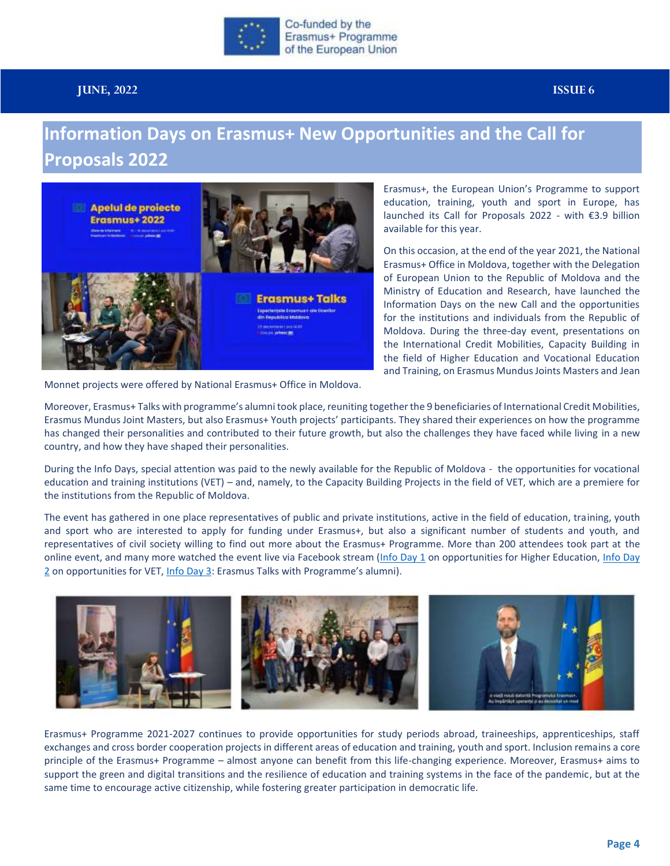

# **Information Days on Erasmus+ New Opportunities and the Call for Proposals 2022**



Erasmus+, the European Union's Programme to support education, training, youth and sport in Europe, has launched its Call for Proposals 2022 - with €3.9 billion available for this year.

On this occasion, at the end of the year 2021, the National Erasmus+ Office in Moldova, together with the Delegation of European Union to the Republic of Moldova and the Ministry of Education and Research, have launched the Information Days on the new Call and the opportunities for the institutions and individuals from the Republic of Moldova. During the three-day event, presentations on the International Credit Mobilities, Capacity Building in the field of Higher Education and Vocational Education and Training, on Erasmus Mundus Joints Masters and Jean

Monnet projects were offered by National Erasmus+ Office in Moldova.

Moreover, Erasmus+ Talks with programme's alumni took place, reuniting together the 9 beneficiaries of International Credit Mobilities, Erasmus Mundus Joint Masters, but also Erasmus+ Youth projects' participants. They shared their experiences on how the programme has changed their personalities and contributed to their future growth, but also the challenges they have faced while living in a new country, and how they have shaped their personalities.

During the Info Days, special attention was paid to the newly available for the Republic of Moldova - the opportunities for vocational education and training institutions (VET) – and, namely, to the Capacity Building Projects in the field of VET, which are a premiere for the institutions from the Republic of Moldova.

The event has gathered in one place representatives of public and private institutions, active in the field of education, training, youth and sport who are interested to apply for funding under Erasmus+, but also a significant number of students and youth, and representatives of civil society willing to find out more about the Erasmus+ Programme. More than 200 attendees took part at the online event, and many more watched the event live via Facebook stream [\(Info Day 1](https://www.facebook.com/erasmusplusmoldova/videos/628806165029356) on opportunities for Higher Education, Info Day [2](https://www.facebook.com/erasmusplusmoldova/videos/1969348826565715/) on opportunities for VET, [Info Day 3](https://www.facebook.com/erasmusplusmoldova/videos/301031105283172/): Erasmus Talks with Programme's alumni).



Erasmus+ Programme 2021-2027 continues to provide opportunities for study periods abroad, traineeships, apprenticeships, staff exchanges and cross border cooperation projects in different areas of education and training, youth and sport. Inclusion remains a core principle of the Erasmus+ Programme – almost anyone can benefit from this life-changing experience. Moreover, Erasmus+ aims to support the green and digital transitions and the resilience of education and training systems in the face of the pandemic, but at the same time to encourage active citizenship, while fostering greater participation in democratic life.